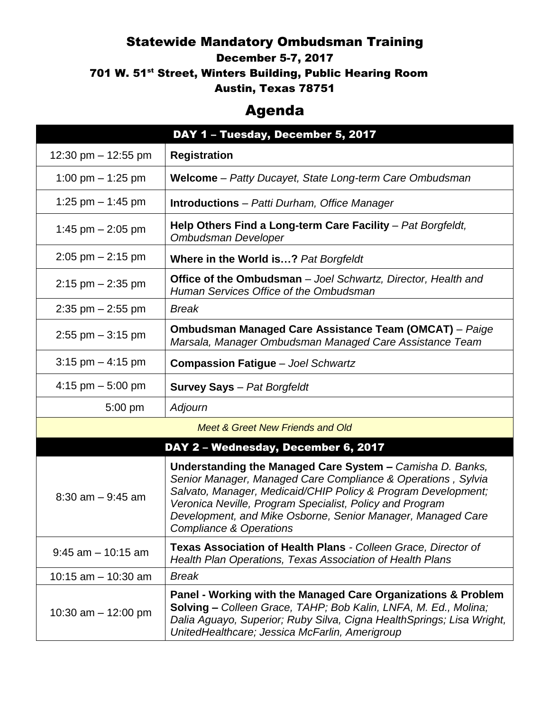## Statewide Mandatory Ombudsman Training

December 5-7, 2017

701 W. 51<sup>st</sup> Street, Winters Building, Public Hearing Room

Austin, Texas 78751

## Agenda

|                                             | DAY 1 - Tuesday, December 5, 2017                                                                                                                                                                                                                                                                                                                           |
|---------------------------------------------|-------------------------------------------------------------------------------------------------------------------------------------------------------------------------------------------------------------------------------------------------------------------------------------------------------------------------------------------------------------|
| 12:30 pm $-$ 12:55 pm                       | <b>Registration</b>                                                                                                                                                                                                                                                                                                                                         |
| 1:00 pm $-$ 1:25 pm                         | Welcome - Patty Ducayet, State Long-term Care Ombudsman                                                                                                                                                                                                                                                                                                     |
| 1:25 pm $-$ 1:45 pm                         | <b>Introductions</b> – Patti Durham, Office Manager                                                                                                                                                                                                                                                                                                         |
| 1:45 pm $-$ 2:05 pm                         | Help Others Find a Long-term Care Facility - Pat Borgfeldt,<br><b>Ombudsman Developer</b>                                                                                                                                                                                                                                                                   |
| $2:05$ pm $-2:15$ pm                        | Where in the World is? Pat Borgfeldt                                                                                                                                                                                                                                                                                                                        |
| $2:15$ pm $- 2:35$ pm                       | <b>Office of the Ombudsman</b> – Joel Schwartz, Director, Health and<br>Human Services Office of the Ombudsman                                                                                                                                                                                                                                              |
| $2:35$ pm $-2:55$ pm                        | <b>Break</b>                                                                                                                                                                                                                                                                                                                                                |
| $2:55$ pm $-3:15$ pm                        | <b>Ombudsman Managed Care Assistance Team (OMCAT)</b> - Paige<br>Marsala, Manager Ombudsman Managed Care Assistance Team                                                                                                                                                                                                                                    |
| $3:15$ pm $-4:15$ pm                        | <b>Compassion Fatigue - Joel Schwartz</b>                                                                                                                                                                                                                                                                                                                   |
| 4:15 pm $-$ 5:00 pm                         | <b>Survey Says</b> - Pat Borgfeldt                                                                                                                                                                                                                                                                                                                          |
| 5:00 pm                                     | Adjourn                                                                                                                                                                                                                                                                                                                                                     |
| <b>Meet &amp; Greet New Friends and Old</b> |                                                                                                                                                                                                                                                                                                                                                             |
| DAY 2 - Wednesday, December 6, 2017         |                                                                                                                                                                                                                                                                                                                                                             |
| $8:30$ am $-9:45$ am                        | Understanding the Managed Care System - Camisha D. Banks,<br>Senior Manager, Managed Care Compliance & Operations, Sylvia<br>Salvato, Manager, Medicaid/CHIP Policy & Program Development;<br>Veronica Neville, Program Specialist, Policy and Program<br>Development, and Mike Osborne, Senior Manager, Managed Care<br><b>Compliance &amp; Operations</b> |
| $9:45$ am $-10:15$ am                       | Texas Association of Health Plans - Colleen Grace, Director of<br>Health Plan Operations, Texas Association of Health Plans                                                                                                                                                                                                                                 |
| 10:15 $am - 10:30 am$                       | <b>Break</b>                                                                                                                                                                                                                                                                                                                                                |
| 10:30 am $-$ 12:00 pm                       | Panel - Working with the Managed Care Organizations & Problem<br>Solving - Colleen Grace, TAHP; Bob Kalin, LNFA, M. Ed., Molina;<br>Dalia Aguayo, Superior; Ruby Silva, Cigna Health Springs; Lisa Wright,<br>UnitedHealthcare; Jessica McFarlin, Amerigroup                                                                                                |